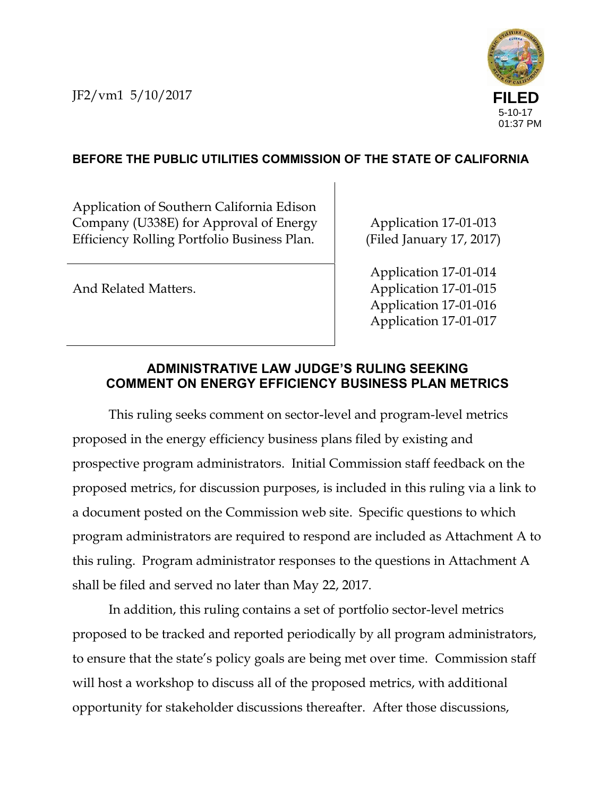

#### **BEFORE THE PUBLIC UTILITIES COMMISSION OF THE STATE OF CALIFORNIA**

Application of Southern California Edison Company (U338E) for Approval of Energy Efficiency Rolling Portfolio Business Plan.

And Related Matters.

Application 17-01-013 (Filed January 17, 2017)

Application 17-01-014 Application 17-01-015 Application 17-01-016 Application 17-01-017

#### **ADMINISTRATIVE LAW JUDGE'S RULING SEEKING COMMENT ON ENERGY EFFICIENCY BUSINESS PLAN METRICS**

This ruling seeks comment on sector-level and program-level metrics proposed in the energy efficiency business plans filed by existing and prospective program administrators. Initial Commission staff feedback on the proposed metrics, for discussion purposes, is included in this ruling via a link to a document posted on the Commission web site. Specific questions to which program administrators are required to respond are included as Attachment A to this ruling. Program administrator responses to the questions in Attachment A shall be filed and served no later than May 22, 2017.

In addition, this ruling contains a set of portfolio sector-level metrics proposed to be tracked and reported periodically by all program administrators, to ensure that the state's policy goals are being met over time. Commission staff will host a workshop to discuss all of the proposed metrics, with additional opportunity for stakeholder discussions thereafter. After those discussions,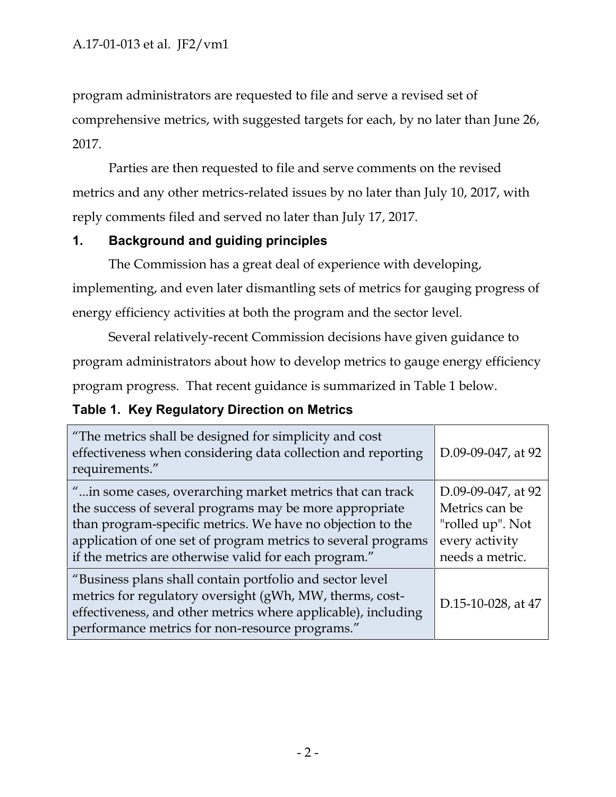program administrators are requested to file and serve a revised set of comprehensive metrics, with suggested targets for each, by no later than June 26, 2017.

Parties are then requested to file and serve comments on the revised metrics and any other metrics-related issues by no later than July 10, 2017, with reply comments filed and served no later than July 17, 2017.

#### **1. Background and guiding principles**

The Commission has a great deal of experience with developing, implementing, and even later dismantling sets of metrics for gauging progress of energy efficiency activities at both the program and the sector level.

Several relatively-recent Commission decisions have given guidance to program administrators about how to develop metrics to gauge energy efficiency program progress. That recent guidance is summarized in Table 1 below.

#### **Table 1. Key Regulatory Direction on Metrics**

| "The metrics shall be designed for simplicity and cost<br>effectiveness when considering data collection and reporting<br>requirements."                                                                                                                                                                      | D.09-09-047, at 92                                                                            |
|---------------------------------------------------------------------------------------------------------------------------------------------------------------------------------------------------------------------------------------------------------------------------------------------------------------|-----------------------------------------------------------------------------------------------|
| " in some cases, overarching market metrics that can track<br>the success of several programs may be more appropriate<br>than program-specific metrics. We have no objection to the<br>application of one set of program metrics to several programs<br>if the metrics are otherwise valid for each program." | D.09-09-047, at 92<br>Metrics can be<br>"rolled up". Not<br>every activity<br>needs a metric. |
| "Business plans shall contain portfolio and sector level<br>metrics for regulatory oversight (gWh, MW, therms, cost-<br>effectiveness, and other metrics where applicable), including<br>performance metrics for non-resource programs."                                                                      | D.15-10-028, at 47                                                                            |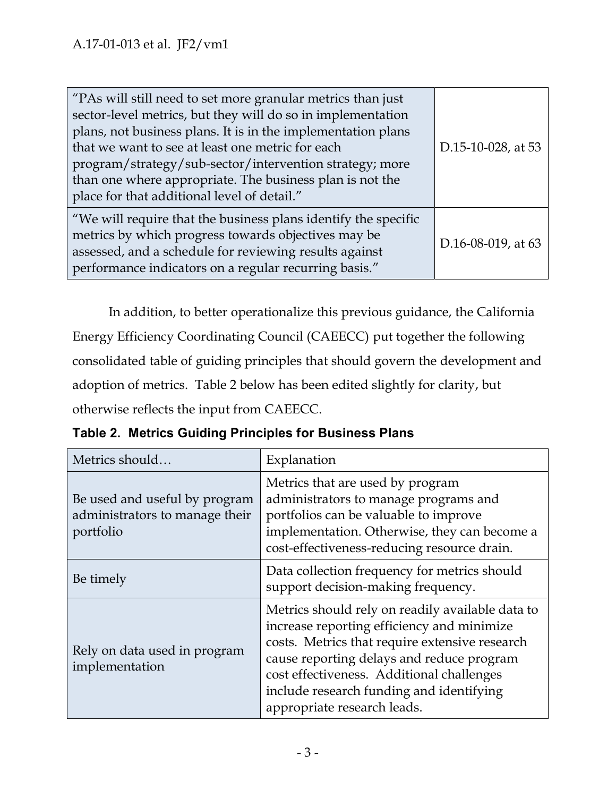| "PAs will still need to set more granular metrics than just<br>sector-level metrics, but they will do so in implementation<br>plans, not business plans. It is in the implementation plans<br>that we want to see at least one metric for each<br>program/strategy/sub-sector/intervention strategy; more<br>than one where appropriate. The business plan is not the<br>place for that additional level of detail." | D.15-10-028, at 53 |
|----------------------------------------------------------------------------------------------------------------------------------------------------------------------------------------------------------------------------------------------------------------------------------------------------------------------------------------------------------------------------------------------------------------------|--------------------|
| "We will require that the business plans identify the specific<br>metrics by which progress towards objectives may be<br>assessed, and a schedule for reviewing results against<br>performance indicators on a regular recurring basis."                                                                                                                                                                             | D.16-08-019, at 63 |

In addition, to better operationalize this previous guidance, the California Energy Efficiency Coordinating Council (CAEECC) put together the following consolidated table of guiding principles that should govern the development and adoption of metrics. Table 2 below has been edited slightly for clarity, but otherwise reflects the input from CAEECC.

| Metrics should                                                               | Explanation                                                                                                                                                                                                                                                                                                           |
|------------------------------------------------------------------------------|-----------------------------------------------------------------------------------------------------------------------------------------------------------------------------------------------------------------------------------------------------------------------------------------------------------------------|
| Be used and useful by program<br>administrators to manage their<br>portfolio | Metrics that are used by program<br>administrators to manage programs and<br>portfolios can be valuable to improve<br>implementation. Otherwise, they can become a<br>cost-effectiveness-reducing resource drain.                                                                                                     |
| Be timely                                                                    | Data collection frequency for metrics should<br>support decision-making frequency.                                                                                                                                                                                                                                    |
| Rely on data used in program<br>implementation                               | Metrics should rely on readily available data to<br>increase reporting efficiency and minimize<br>costs. Metrics that require extensive research<br>cause reporting delays and reduce program<br>cost effectiveness. Additional challenges<br>include research funding and identifying<br>appropriate research leads. |

**Table 2. Metrics Guiding Principles for Business Plans**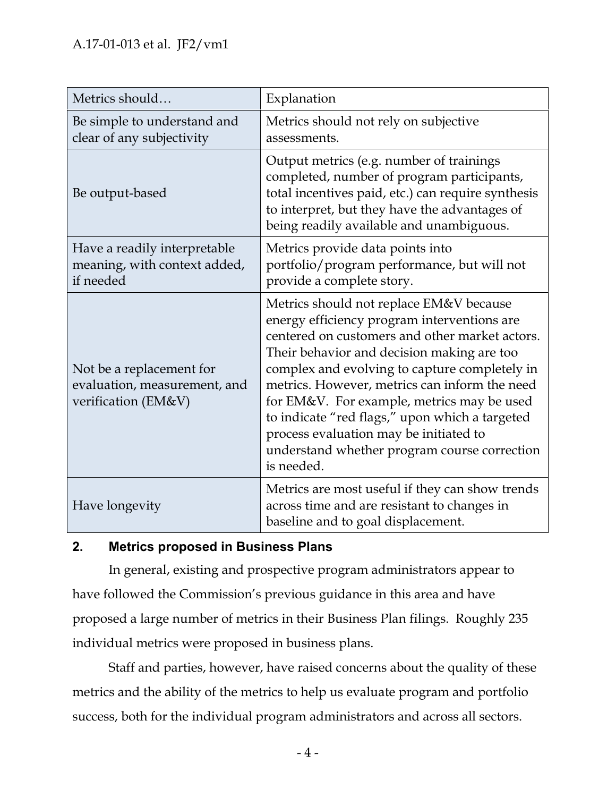| Metrics should                                                                  | Explanation                                                                                                                                                                                                                                                                                                                                                                                                                                                                                      |
|---------------------------------------------------------------------------------|--------------------------------------------------------------------------------------------------------------------------------------------------------------------------------------------------------------------------------------------------------------------------------------------------------------------------------------------------------------------------------------------------------------------------------------------------------------------------------------------------|
| Be simple to understand and<br>clear of any subjectivity                        | Metrics should not rely on subjective<br>assessments.                                                                                                                                                                                                                                                                                                                                                                                                                                            |
| Be output-based                                                                 | Output metrics (e.g. number of trainings<br>completed, number of program participants,<br>total incentives paid, etc.) can require synthesis<br>to interpret, but they have the advantages of<br>being readily available and unambiguous.                                                                                                                                                                                                                                                        |
| Have a readily interpretable<br>meaning, with context added,<br>if needed       | Metrics provide data points into<br>portfolio/program performance, but will not<br>provide a complete story.                                                                                                                                                                                                                                                                                                                                                                                     |
| Not be a replacement for<br>evaluation, measurement, and<br>verification (EM&V) | Metrics should not replace EM&V because<br>energy efficiency program interventions are<br>centered on customers and other market actors.<br>Their behavior and decision making are too<br>complex and evolving to capture completely in<br>metrics. However, metrics can inform the need<br>for EM&V. For example, metrics may be used<br>to indicate "red flags," upon which a targeted<br>process evaluation may be initiated to<br>understand whether program course correction<br>is needed. |
| Have longevity                                                                  | Metrics are most useful if they can show trends<br>across time and are resistant to changes in<br>baseline and to goal displacement.                                                                                                                                                                                                                                                                                                                                                             |

#### **2. Metrics proposed in Business Plans**

In general, existing and prospective program administrators appear to have followed the Commission's previous guidance in this area and have proposed a large number of metrics in their Business Plan filings. Roughly 235 individual metrics were proposed in business plans.

Staff and parties, however, have raised concerns about the quality of these metrics and the ability of the metrics to help us evaluate program and portfolio success, both for the individual program administrators and across all sectors.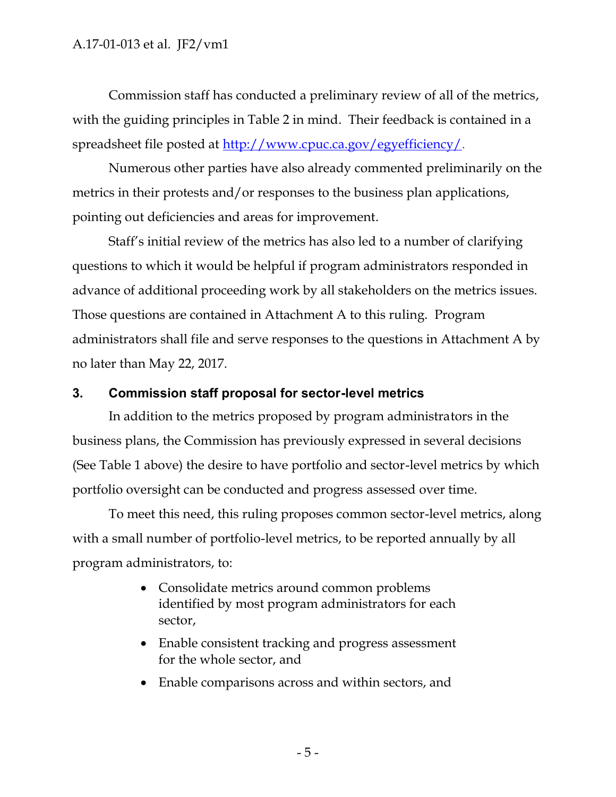Commission staff has conducted a preliminary review of all of the metrics, with the guiding principles in Table 2 in mind. Their feedback is contained in a spreadsheet file posted at http://www.cpuc.ca.gov/egyefficiency/.

Numerous other parties have also already commented preliminarily on the metrics in their protests and/or responses to the business plan applications, pointing out deficiencies and areas for improvement.

Staff's initial review of the metrics has also led to a number of clarifying questions to which it would be helpful if program administrators responded in advance of additional proceeding work by all stakeholders on the metrics issues. Those questions are contained in Attachment A to this ruling. Program administrators shall file and serve responses to the questions in Attachment A by no later than May 22, 2017.

#### **3. Commission staff proposal for sector-level metrics**

In addition to the metrics proposed by program administrators in the business plans, the Commission has previously expressed in several decisions (See Table 1 above) the desire to have portfolio and sector-level metrics by which portfolio oversight can be conducted and progress assessed over time.

To meet this need, this ruling proposes common sector-level metrics, along with a small number of portfolio-level metrics, to be reported annually by all program administrators, to:

- Consolidate metrics around common problems identified by most program administrators for each sector,
- Enable consistent tracking and progress assessment for the whole sector, and
- Enable comparisons across and within sectors, and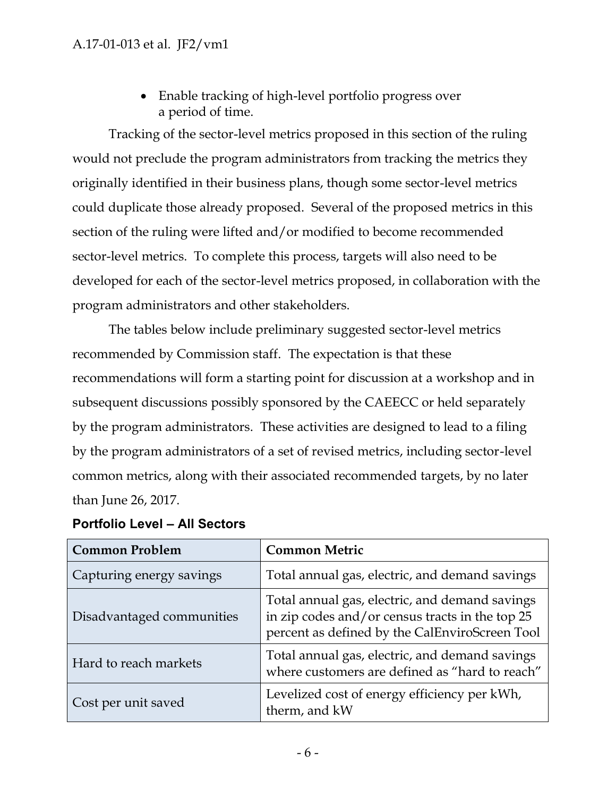Enable tracking of high-level portfolio progress over a period of time.

Tracking of the sector-level metrics proposed in this section of the ruling would not preclude the program administrators from tracking the metrics they originally identified in their business plans, though some sector-level metrics could duplicate those already proposed. Several of the proposed metrics in this section of the ruling were lifted and/or modified to become recommended sector-level metrics. To complete this process, targets will also need to be developed for each of the sector-level metrics proposed, in collaboration with the program administrators and other stakeholders.

The tables below include preliminary suggested sector-level metrics recommended by Commission staff. The expectation is that these recommendations will form a starting point for discussion at a workshop and in subsequent discussions possibly sponsored by the CAEECC or held separately by the program administrators. These activities are designed to lead to a filing by the program administrators of a set of revised metrics, including sector-level common metrics, along with their associated recommended targets, by no later than June 26, 2017.

| <b>Common Problem</b>     | <b>Common Metric</b>                                                                                                                                |
|---------------------------|-----------------------------------------------------------------------------------------------------------------------------------------------------|
| Capturing energy savings  | Total annual gas, electric, and demand savings                                                                                                      |
| Disadvantaged communities | Total annual gas, electric, and demand savings<br>in zip codes and/or census tracts in the top 25<br>percent as defined by the CalEnviroScreen Tool |
| Hard to reach markets     | Total annual gas, electric, and demand savings<br>where customers are defined as "hard to reach"                                                    |
| Cost per unit saved       | Levelized cost of energy efficiency per kWh,<br>therm, and kW                                                                                       |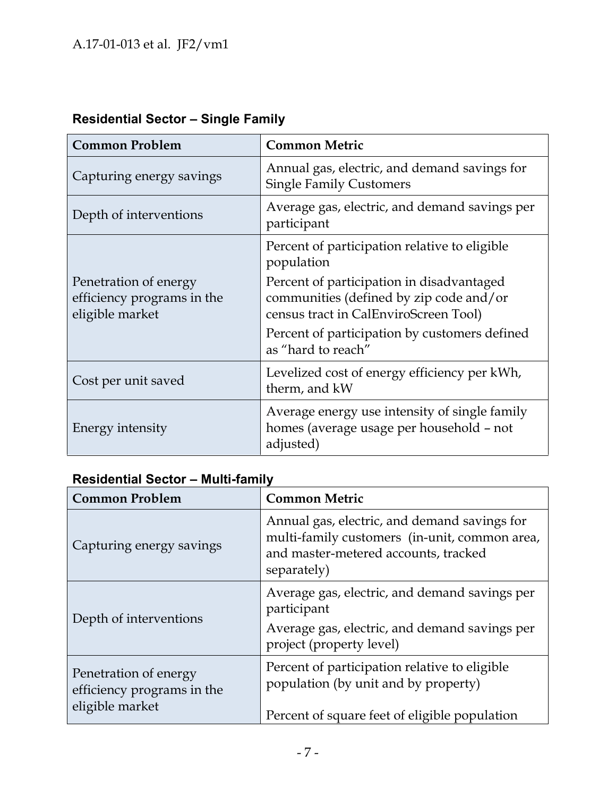| <b>Common Problem</b>                                                  | <b>Common Metric</b>                                                                                                          |
|------------------------------------------------------------------------|-------------------------------------------------------------------------------------------------------------------------------|
| Capturing energy savings                                               | Annual gas, electric, and demand savings for<br><b>Single Family Customers</b>                                                |
| Depth of interventions                                                 | Average gas, electric, and demand savings per<br>participant                                                                  |
|                                                                        | Percent of participation relative to eligible<br>population                                                                   |
| Penetration of energy<br>efficiency programs in the<br>eligible market | Percent of participation in disadvantaged<br>communities (defined by zip code and/or<br>census tract in CalEnviroScreen Tool) |
|                                                                        | Percent of participation by customers defined<br>as "hard to reach"                                                           |
| Cost per unit saved                                                    | Levelized cost of energy efficiency per kWh,<br>therm, and kW                                                                 |
| Energy intensity                                                       | Average energy use intensity of single family<br>homes (average usage per household - not<br>adjusted)                        |

# **Residential Sector – Single Family**

# **Residential Sector – Multi-family**

| <b>Common Problem</b>                                                  | <b>Common Metric</b>                                                                                                                                 |
|------------------------------------------------------------------------|------------------------------------------------------------------------------------------------------------------------------------------------------|
| Capturing energy savings                                               | Annual gas, electric, and demand savings for<br>multi-family customers (in-unit, common area,<br>and master-metered accounts, tracked<br>separately) |
| Depth of interventions                                                 | Average gas, electric, and demand savings per<br>participant<br>Average gas, electric, and demand savings per<br>project (property level)            |
| Penetration of energy<br>efficiency programs in the<br>eligible market | Percent of participation relative to eligible<br>population (by unit and by property)<br>Percent of square feet of eligible population               |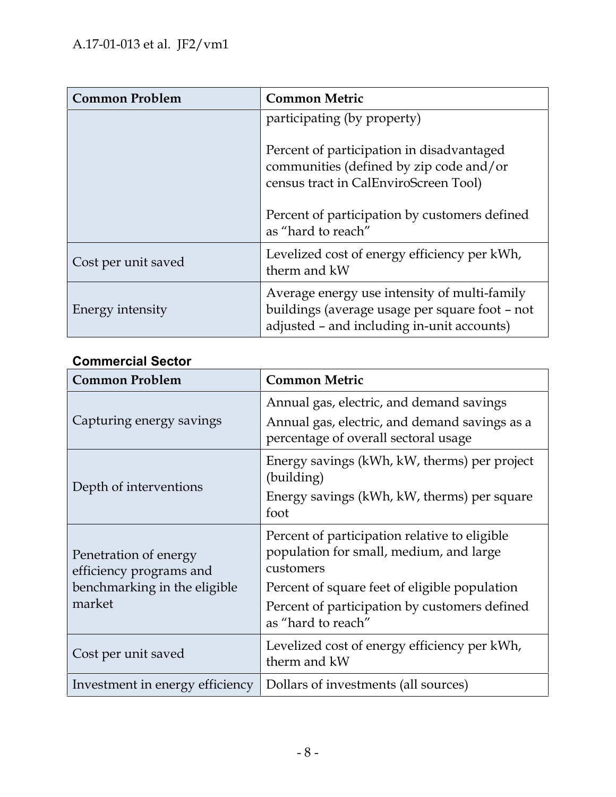| <b>Common Problem</b> | <b>Common Metric</b>                                                                                                                         |
|-----------------------|----------------------------------------------------------------------------------------------------------------------------------------------|
|                       | participating (by property)                                                                                                                  |
|                       | Percent of participation in disadvantaged<br>communities (defined by zip code and/or<br>census tract in CalEnviroScreen Tool)                |
|                       | Percent of participation by customers defined<br>as "hard to reach"                                                                          |
| Cost per unit saved   | Levelized cost of energy efficiency per kWh,<br>therm and kW                                                                                 |
| Energy intensity      | Average energy use intensity of multi-family<br>buildings (average usage per square foot - not<br>adjusted - and including in-unit accounts) |

# **Commercial Sector**

| <b>Common Problem</b>                                                                      | <b>Common Metric</b>                                                                                                                                                                                                          |
|--------------------------------------------------------------------------------------------|-------------------------------------------------------------------------------------------------------------------------------------------------------------------------------------------------------------------------------|
| Capturing energy savings                                                                   | Annual gas, electric, and demand savings<br>Annual gas, electric, and demand savings as a<br>percentage of overall sectoral usage                                                                                             |
| Depth of interventions                                                                     | Energy savings (kWh, kW, therms) per project<br>(building)<br>Energy savings (kWh, kW, therms) per square<br>foot                                                                                                             |
| Penetration of energy<br>efficiency programs and<br>benchmarking in the eligible<br>market | Percent of participation relative to eligible<br>population for small, medium, and large<br>customers<br>Percent of square feet of eligible population<br>Percent of participation by customers defined<br>as "hard to reach" |
| Cost per unit saved                                                                        | Levelized cost of energy efficiency per kWh,<br>therm and kW                                                                                                                                                                  |
| Investment in energy efficiency                                                            | Dollars of investments (all sources)                                                                                                                                                                                          |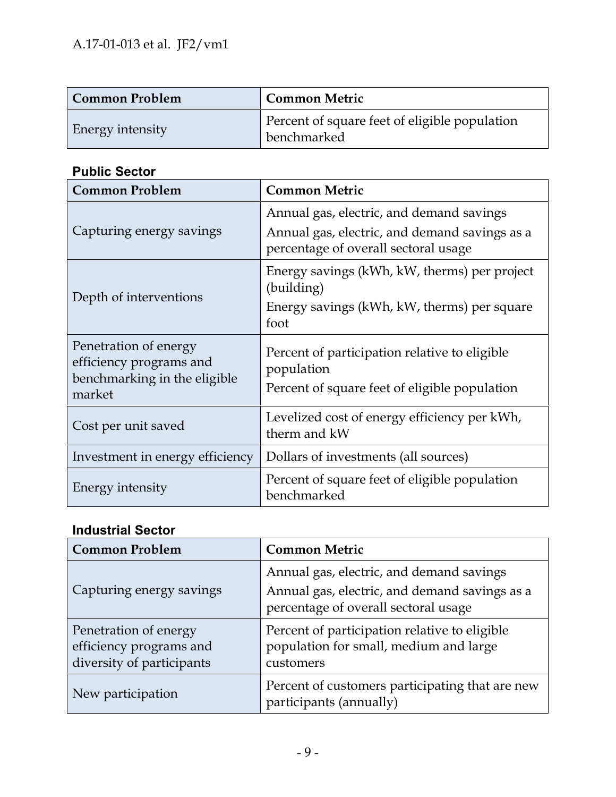| Common Problem          | <b>Common Metric</b>                                         |
|-------------------------|--------------------------------------------------------------|
| <b>Energy intensity</b> | Percent of square feet of eligible population<br>benchmarked |

# **Public Sector**

| <b>Common Problem</b>                                                                      | <b>Common Metric</b>                                                                                                              |
|--------------------------------------------------------------------------------------------|-----------------------------------------------------------------------------------------------------------------------------------|
| Capturing energy savings                                                                   | Annual gas, electric, and demand savings<br>Annual gas, electric, and demand savings as a<br>percentage of overall sectoral usage |
| Depth of interventions                                                                     | Energy savings (kWh, kW, therms) per project<br>(building)<br>Energy savings (kWh, kW, therms) per square<br>foot                 |
| Penetration of energy<br>efficiency programs and<br>benchmarking in the eligible<br>market | Percent of participation relative to eligible<br>population<br>Percent of square feet of eligible population                      |
| Cost per unit saved                                                                        | Levelized cost of energy efficiency per kWh,<br>therm and kW                                                                      |
| Investment in energy efficiency                                                            | Dollars of investments (all sources)                                                                                              |
| <b>Energy intensity</b>                                                                    | Percent of square feet of eligible population<br>benchmarked                                                                      |

# **Industrial Sector**

| <b>Common Problem</b>                                                         | <b>Common Metric</b>                                                                                                              |  |  |
|-------------------------------------------------------------------------------|-----------------------------------------------------------------------------------------------------------------------------------|--|--|
| Capturing energy savings                                                      | Annual gas, electric, and demand savings<br>Annual gas, electric, and demand savings as a<br>percentage of overall sectoral usage |  |  |
| Penetration of energy<br>efficiency programs and<br>diversity of participants | Percent of participation relative to eligible<br>population for small, medium and large<br>customers                              |  |  |
| New participation                                                             | Percent of customers participating that are new<br>participants (annually)                                                        |  |  |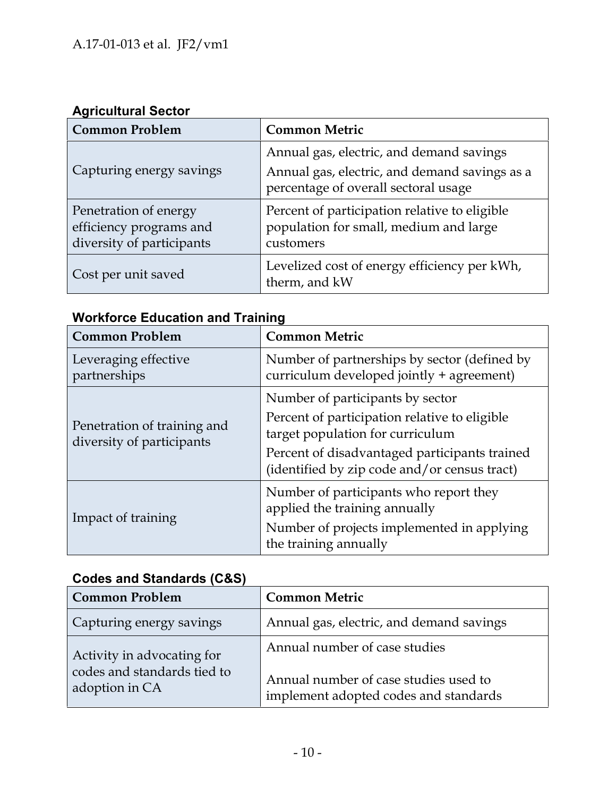#### **Agricultural Sector**

| <b>Common Problem</b>                                                         | <b>Common Metric</b>                                                                                                              |
|-------------------------------------------------------------------------------|-----------------------------------------------------------------------------------------------------------------------------------|
| Capturing energy savings                                                      | Annual gas, electric, and demand savings<br>Annual gas, electric, and demand savings as a<br>percentage of overall sectoral usage |
| Penetration of energy<br>efficiency programs and<br>diversity of participants | Percent of participation relative to eligible<br>population for small, medium and large<br>customers                              |
| Cost per unit saved                                                           | Levelized cost of energy efficiency per kWh,<br>therm, and kW                                                                     |

# **Workforce Education and Training**

| <b>Common Problem</b>                                    | <b>Common Metric</b>                                                                          |  |  |
|----------------------------------------------------------|-----------------------------------------------------------------------------------------------|--|--|
| Leveraging effective<br>partnerships                     | Number of partnerships by sector (defined by<br>curriculum developed jointly + agreement)     |  |  |
|                                                          | Number of participants by sector                                                              |  |  |
| Penetration of training and<br>diversity of participants | Percent of participation relative to eligible<br>target population for curriculum             |  |  |
|                                                          | Percent of disadvantaged participants trained<br>(identified by zip code and/or census tract) |  |  |
|                                                          | Number of participants who report they<br>applied the training annually                       |  |  |
| Impact of training                                       | Number of projects implemented in applying<br>the training annually                           |  |  |

# **Codes and Standards (C&S)**

| <b>Common Problem</b>                                                       | <b>Common Metric</b>                                                                                            |
|-----------------------------------------------------------------------------|-----------------------------------------------------------------------------------------------------------------|
| Capturing energy savings                                                    | Annual gas, electric, and demand savings                                                                        |
| Activity in advocating for<br>codes and standards tied to<br>adoption in CA | Annual number of case studies<br>Annual number of case studies used to<br>implement adopted codes and standards |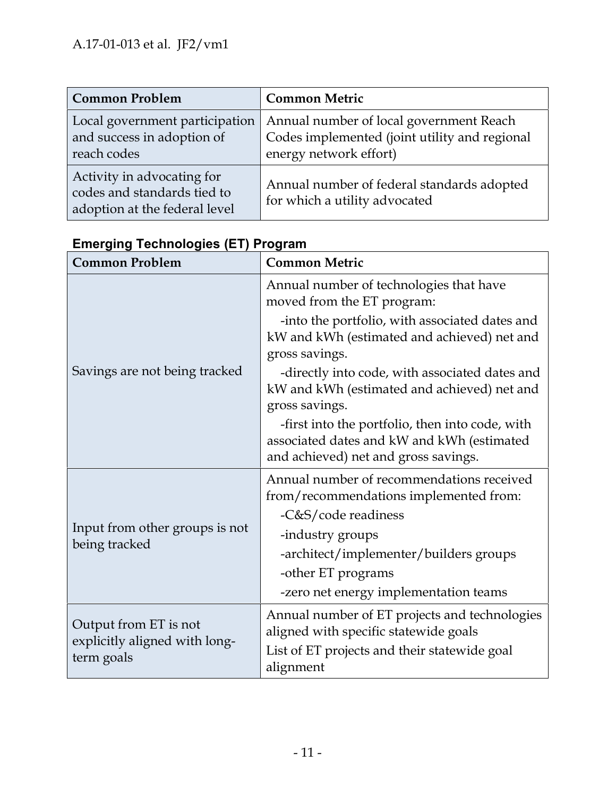| <b>Common Problem</b>                                                                      | <b>Common Metric</b>                                                                                               |
|--------------------------------------------------------------------------------------------|--------------------------------------------------------------------------------------------------------------------|
| Local government participation<br>and success in adoption of<br>reach codes                | Annual number of local government Reach<br>Codes implemented (joint utility and regional<br>energy network effort) |
| Activity in advocating for<br>codes and standards tied to<br>adoption at the federal level | Annual number of federal standards adopted<br>for which a utility advocated                                        |

| <b>Common Problem</b>                       | <b>Common Metric</b>                                                                                                                  |  |  |  |
|---------------------------------------------|---------------------------------------------------------------------------------------------------------------------------------------|--|--|--|
|                                             | Annual number of technologies that have<br>moved from the ET program:                                                                 |  |  |  |
|                                             | -into the portfolio, with associated dates and<br>kW and kWh (estimated and achieved) net and<br>gross savings.                       |  |  |  |
| Savings are not being tracked               | -directly into code, with associated dates and<br>kW and kWh (estimated and achieved) net and<br>gross savings.                       |  |  |  |
|                                             | -first into the portfolio, then into code, with<br>associated dates and kW and kWh (estimated<br>and achieved) net and gross savings. |  |  |  |
|                                             | Annual number of recommendations received<br>from/recommendations implemented from:                                                   |  |  |  |
|                                             | -C&S/code readiness                                                                                                                   |  |  |  |
| Input from other groups is not              | -industry groups                                                                                                                      |  |  |  |
| being tracked                               | -architect/implementer/builders groups                                                                                                |  |  |  |
|                                             | -other ET programs                                                                                                                    |  |  |  |
|                                             | -zero net energy implementation teams                                                                                                 |  |  |  |
| Output from ET is not                       | Annual number of ET projects and technologies<br>aligned with specific statewide goals                                                |  |  |  |
| explicitly aligned with long-<br>term goals | List of ET projects and their statewide goal<br>alignment                                                                             |  |  |  |

# **Emerging Technologies (ET) Program**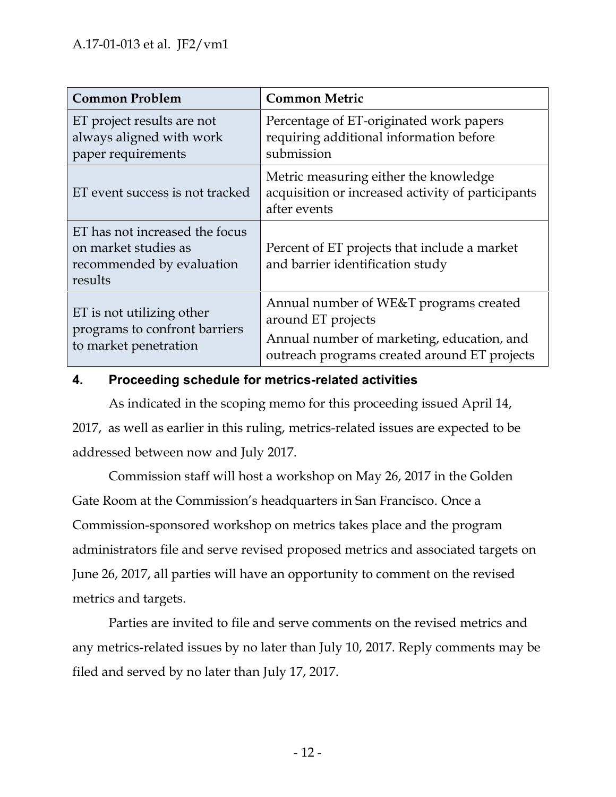| <b>Common Problem</b>                                                                          | <b>Common Metric</b>                                                                                                                                       |
|------------------------------------------------------------------------------------------------|------------------------------------------------------------------------------------------------------------------------------------------------------------|
| ET project results are not<br>always aligned with work<br>paper requirements                   | Percentage of ET-originated work papers<br>requiring additional information before<br>submission                                                           |
| ET event success is not tracked                                                                | Metric measuring either the knowledge<br>acquisition or increased activity of participants<br>after events                                                 |
| ET has not increased the focus<br>on market studies as<br>recommended by evaluation<br>results | Percent of ET projects that include a market<br>and barrier identification study                                                                           |
| ET is not utilizing other<br>programs to confront barriers<br>to market penetration            | Annual number of WE&T programs created<br>around ET projects<br>Annual number of marketing, education, and<br>outreach programs created around ET projects |

#### **4. Proceeding schedule for metrics-related activities**

As indicated in the scoping memo for this proceeding issued April 14, 2017, as well as earlier in this ruling, metrics-related issues are expected to be addressed between now and July 2017.

Commission staff will host a workshop on May 26, 2017 in the Golden Gate Room at the Commission's headquarters in San Francisco. Once a Commission-sponsored workshop on metrics takes place and the program administrators file and serve revised proposed metrics and associated targets on June 26, 2017, all parties will have an opportunity to comment on the revised metrics and targets.

Parties are invited to file and serve comments on the revised metrics and any metrics-related issues by no later than July 10, 2017. Reply comments may be filed and served by no later than July 17, 2017.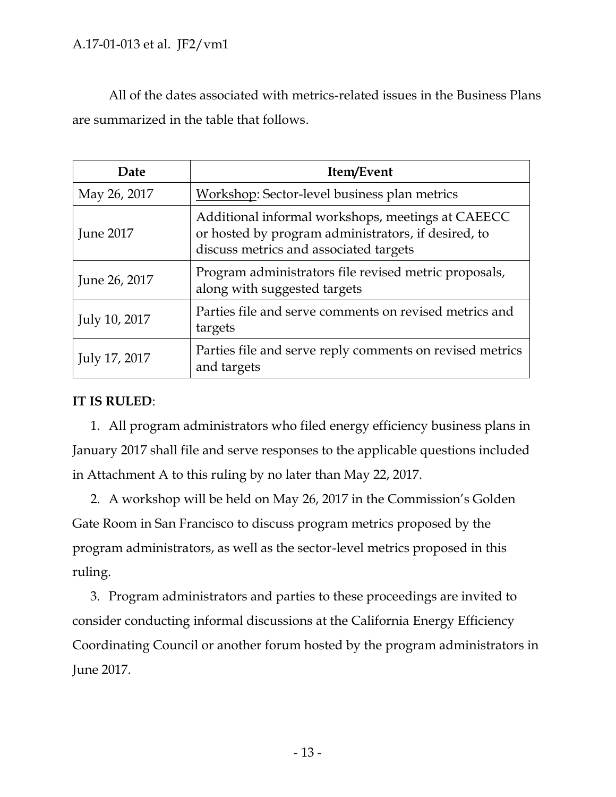All of the dates associated with metrics-related issues in the Business Plans are summarized in the table that follows.

| Date             | Item/Event                                                                                                                                         |
|------------------|----------------------------------------------------------------------------------------------------------------------------------------------------|
| May 26, 2017     | Workshop: Sector-level business plan metrics                                                                                                       |
| <b>June 2017</b> | Additional informal workshops, meetings at CAEECC<br>or hosted by program administrators, if desired, to<br>discuss metrics and associated targets |
| June 26, 2017    | Program administrators file revised metric proposals,<br>along with suggested targets                                                              |
| July 10, 2017    | Parties file and serve comments on revised metrics and<br>targets                                                                                  |
| July 17, 2017    | Parties file and serve reply comments on revised metrics<br>and targets                                                                            |

#### **IT IS RULED**:

1. All program administrators who filed energy efficiency business plans in January 2017 shall file and serve responses to the applicable questions included in Attachment A to this ruling by no later than May 22, 2017.

2. A workshop will be held on May 26, 2017 in the Commission's Golden Gate Room in San Francisco to discuss program metrics proposed by the program administrators, as well as the sector-level metrics proposed in this ruling.

3. Program administrators and parties to these proceedings are invited to consider conducting informal discussions at the California Energy Efficiency Coordinating Council or another forum hosted by the program administrators in June 2017.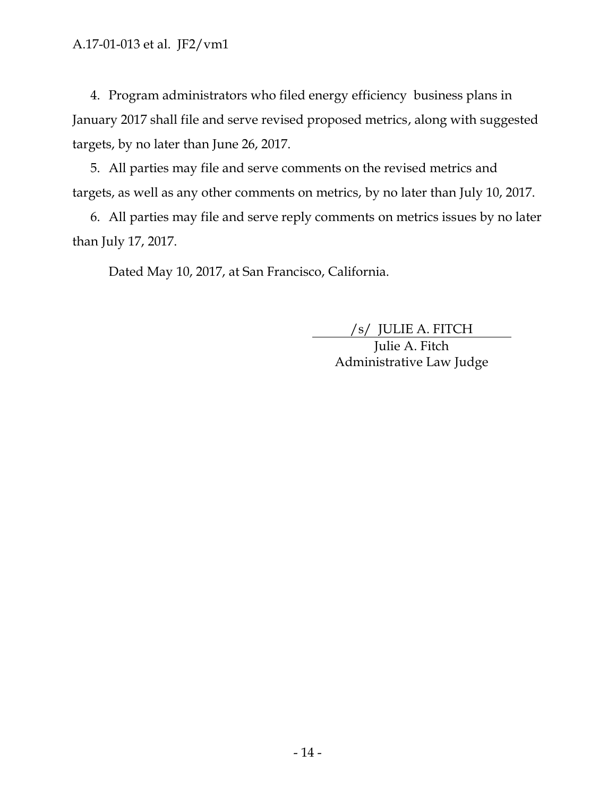4. Program administrators who filed energy efficiency business plans in January 2017 shall file and serve revised proposed metrics, along with suggested targets, by no later than June 26, 2017.

5. All parties may file and serve comments on the revised metrics and targets, as well as any other comments on metrics, by no later than July 10, 2017.

6. All parties may file and serve reply comments on metrics issues by no later than July 17, 2017.

Dated May 10, 2017, at San Francisco, California.

/s/ JULIE A. FITCH

Julie A. Fitch Administrative Law Judge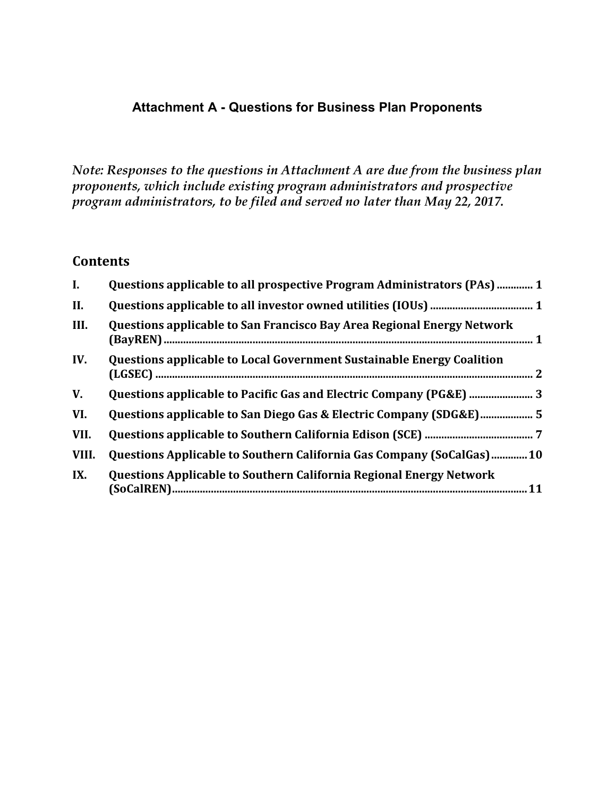#### **Attachment A - Questions for Business Plan Proponents**

*Note: Responses to the questions in Attachment A are due from the business plan proponents, which include existing program administrators and prospective program administrators, to be filed and served no later than May 22, 2017.*

#### **Contents**

| $\mathbf{I}$ . | Questions applicable to all prospective Program Administrators (PAs)  1      |
|----------------|------------------------------------------------------------------------------|
| II.            |                                                                              |
| III.           | Questions applicable to San Francisco Bay Area Regional Energy Network       |
| IV.            | <b>Questions applicable to Local Government Sustainable Energy Coalition</b> |
| V.             |                                                                              |
| VI.            |                                                                              |
| VII.           |                                                                              |
| VIII.          | Questions Applicable to Southern California Gas Company (SoCalGas)10         |
| IX.            | <b>Questions Applicable to Southern California Regional Energy Network</b>   |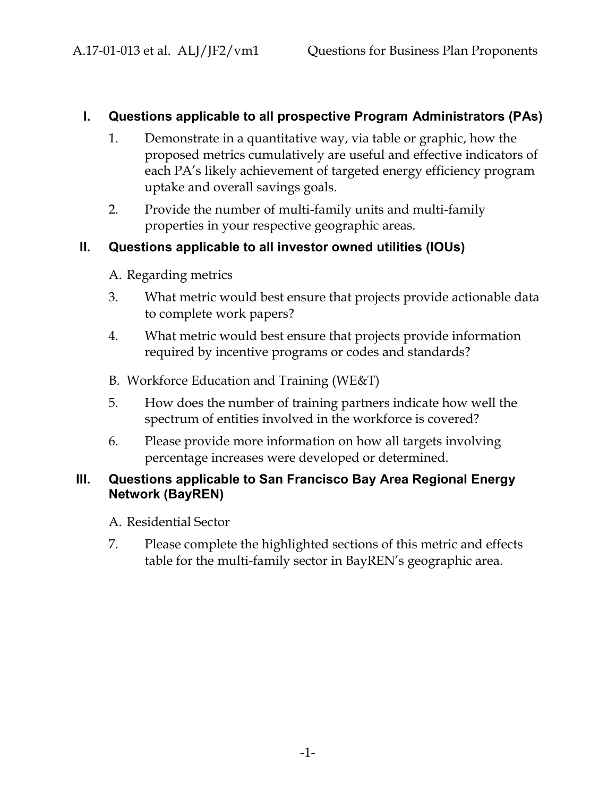#### **I. Questions applicable to all prospective Program Administrators (PAs)**

- 1. Demonstrate in a quantitative way, via table or graphic, how the proposed metrics cumulatively are useful and effective indicators of each PA's likely achievement of targeted energy efficiency program uptake and overall savings goals.
- 2. Provide the number of multi-family units and multi-family properties in your respective geographic areas.

#### **II. Questions applicable to all investor owned utilities (IOUs)**

- A. Regarding metrics
- 3. What metric would best ensure that projects provide actionable data to complete work papers?
- 4. What metric would best ensure that projects provide information required by incentive programs or codes and standards?
- B. Workforce Education and Training (WE&T)
- 5. How does the number of training partners indicate how well the spectrum of entities involved in the workforce is covered?
- 6. Please provide more information on how all targets involving percentage increases were developed or determined.

#### **III. Questions applicable to San Francisco Bay Area Regional Energy Network (BayREN)**

- A. Residential Sector
- 7. Please complete the highlighted sections of this metric and effects table for the multi-family sector in BayREN's geographic area.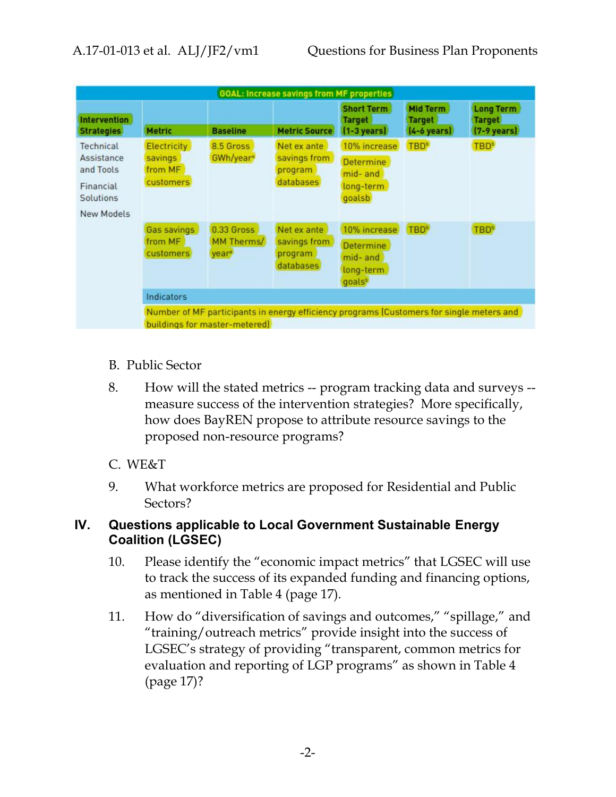| <b>GOAL: Increase savings from MF properties</b>                                    |                                                |                                               |                                                                                          |                                                                          |                                                    |                                                            |
|-------------------------------------------------------------------------------------|------------------------------------------------|-----------------------------------------------|------------------------------------------------------------------------------------------|--------------------------------------------------------------------------|----------------------------------------------------|------------------------------------------------------------|
| <b>Intervention</b><br><b>Strategies</b>                                            | <b>Metric</b>                                  | <b>Baseline</b>                               | <b>Metric Source</b>                                                                     | <b>Short Term</b><br><b>Target</b><br>$[1-3 \text{ years}]$              | Mid Term<br><b>Target</b><br>$[4-6 \text{ years}]$ | <b>Long Term</b><br><b>Target</b><br>$(7-9 \text{ years})$ |
| Technical<br>Assistance<br>and Tools<br>Financial<br><b>Solutions</b><br>New Models | Electricity<br>savings<br>from MF<br>customers | 8.5 Gross<br>GWh/year <sup>®</sup>            | Net ex ante<br>savings from<br>program<br>databases                                      | 10% increase<br>Determine<br>mid- and<br>long-term<br>goalsb             | <b>TBD</b> <sup>b</sup>                            | <b>TBD</b> <sup>b</sup>                                    |
|                                                                                     | Gas savings<br>from MF<br>customers            | 0.33 Gross<br>MM Therms/<br>year <sup>®</sup> | Net ex ante<br>savings from<br>program<br>databases                                      | 10% increase<br>Determine<br>mid- and<br>long-term<br>goals <sup>b</sup> | <b>TBD</b> <sup>b</sup>                            | <b>TBD</b> <sup>b</sup>                                    |
|                                                                                     | Indicators                                     |                                               |                                                                                          |                                                                          |                                                    |                                                            |
|                                                                                     |                                                | buildings for master-metered)                 | Number of MF participants in energy efficiency programs (Customers for single meters and |                                                                          |                                                    |                                                            |

- B. Public Sector
- 8. How will the stated metrics -- program tracking data and surveys measure success of the intervention strategies? More specifically, how does BayREN propose to attribute resource savings to the proposed non-resource programs?

#### C. WE&T

9. What workforce metrics are proposed for Residential and Public Sectors?

#### **IV. Questions applicable to Local Government Sustainable Energy Coalition (LGSEC)**

- 10. Please identify the "economic impact metrics" that LGSEC will use to track the success of its expanded funding and financing options, as mentioned in Table 4 (page 17).
- 11. How do "diversification of savings and outcomes," "spillage," and "training/outreach metrics" provide insight into the success of LGSEC's strategy of providing "transparent, common metrics for evaluation and reporting of LGP programs" as shown in Table 4 (page 17)?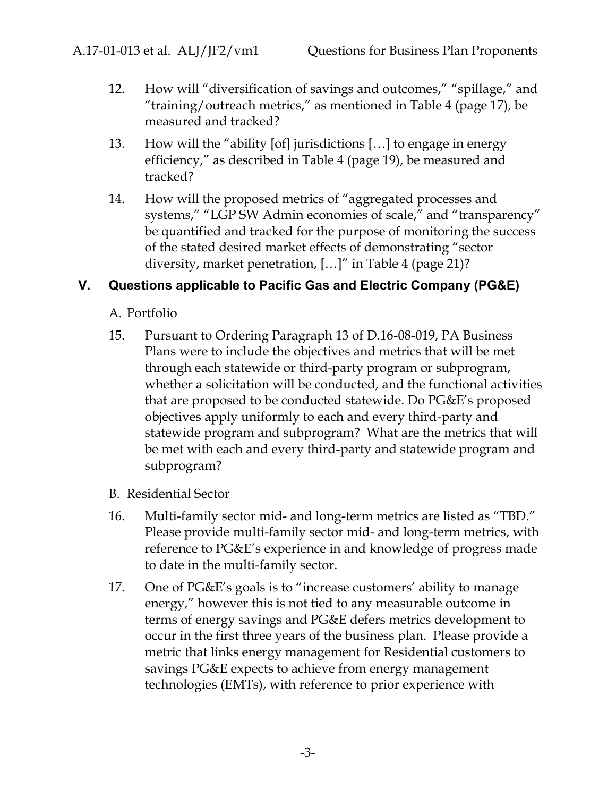- 12. How will "diversification of savings and outcomes," "spillage," and "training/outreach metrics," as mentioned in Table 4 (page 17), be measured and tracked?
- 13. How will the "ability [of] jurisdictions […] to engage in energy efficiency," as described in Table 4 (page 19), be measured and tracked?
- 14. How will the proposed metrics of "aggregated processes and systems," "LGP SW Admin economies of scale," and "transparency" be quantified and tracked for the purpose of monitoring the success of the stated desired market effects of demonstrating "sector diversity, market penetration, […]" in Table 4 (page 21)?

#### **V. Questions applicable to Pacific Gas and Electric Company (PG&E)**

- A. Portfolio
- 15. Pursuant to Ordering Paragraph 13 of D.16-08-019, PA Business Plans were to include the objectives and metrics that will be met through each statewide or third-party program or subprogram, whether a solicitation will be conducted, and the functional activities that are proposed to be conducted statewide. Do PG&E's proposed objectives apply uniformly to each and every third-party and statewide program and subprogram? What are the metrics that will be met with each and every third-party and statewide program and subprogram?
- B. Residential Sector
- 16. Multi-family sector mid- and long-term metrics are listed as "TBD." Please provide multi-family sector mid- and long-term metrics, with reference to PG&E's experience in and knowledge of progress made to date in the multi-family sector.
- 17. One of PG&E's goals is to "increase customers' ability to manage energy," however this is not tied to any measurable outcome in terms of energy savings and PG&E defers metrics development to occur in the first three years of the business plan. Please provide a metric that links energy management for Residential customers to savings PG&E expects to achieve from energy management technologies (EMTs), with reference to prior experience with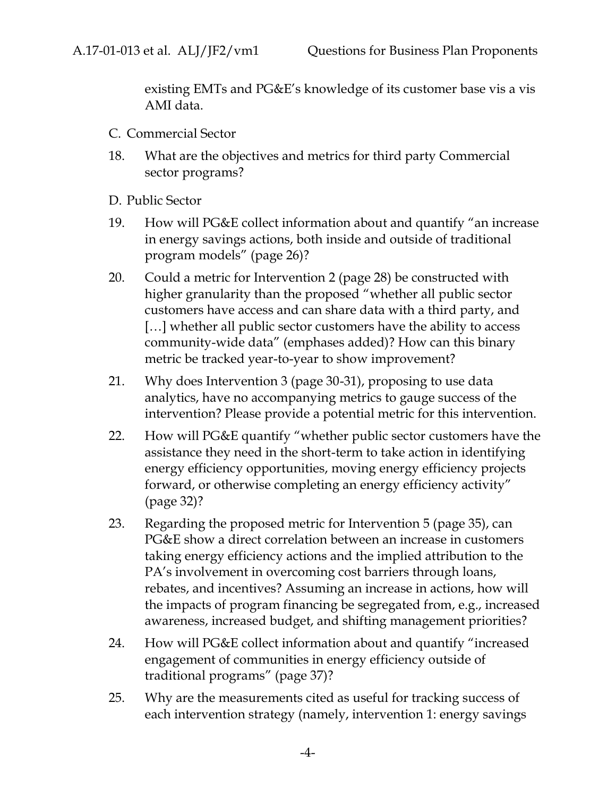existing EMTs and PG&E's knowledge of its customer base vis a vis AMI data.

- C. Commercial Sector
- 18. What are the objectives and metrics for third party Commercial sector programs?
- D. Public Sector
- 19. How will PG&E collect information about and quantify "an increase in energy savings actions, both inside and outside of traditional program models" (page 26)?
- 20. Could a metric for Intervention 2 (page 28) be constructed with higher granularity than the proposed "whether all public sector customers have access and can share data with a third party, and [...] whether all public sector customers have the ability to access community-wide data" (emphases added)? How can this binary metric be tracked year-to-year to show improvement?
- 21. Why does Intervention 3 (page 30-31), proposing to use data analytics, have no accompanying metrics to gauge success of the intervention? Please provide a potential metric for this intervention.
- 22. How will PG&E quantify "whether public sector customers have the assistance they need in the short-term to take action in identifying energy efficiency opportunities, moving energy efficiency projects forward, or otherwise completing an energy efficiency activity" (page 32)?
- 23. Regarding the proposed metric for Intervention 5 (page 35), can PG&E show a direct correlation between an increase in customers taking energy efficiency actions and the implied attribution to the PA's involvement in overcoming cost barriers through loans, rebates, and incentives? Assuming an increase in actions, how will the impacts of program financing be segregated from, e.g., increased awareness, increased budget, and shifting management priorities?
- 24. How will PG&E collect information about and quantify "increased engagement of communities in energy efficiency outside of traditional programs" (page 37)?
- 25. Why are the measurements cited as useful for tracking success of each intervention strategy (namely, intervention 1: energy savings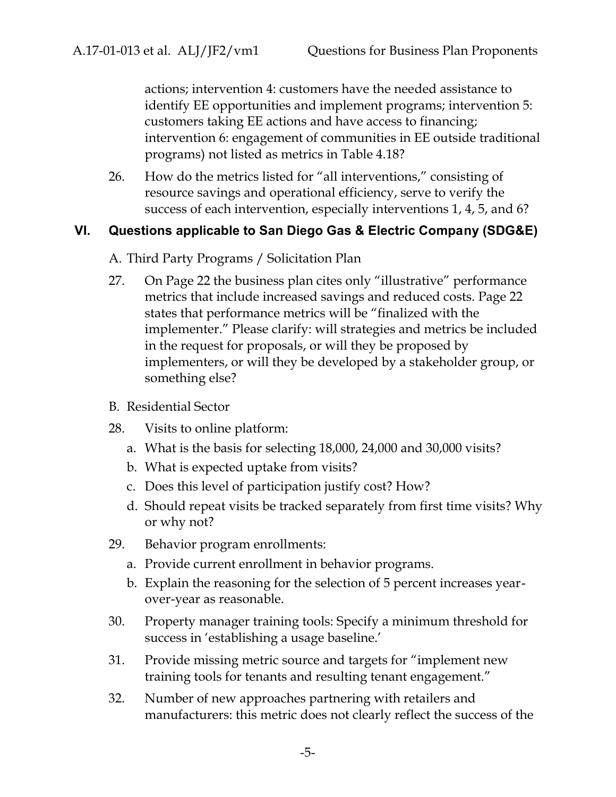actions; intervention 4: customers have the needed assistance to identify EE opportunities and implement programs; intervention 5: customers taking EE actions and have access to financing; intervention 6: engagement of communities in EE outside traditional programs) not listed as metrics in Table 4.18?

26. How do the metrics listed for "all interventions," consisting of resource savings and operational efficiency, serve to verify the success of each intervention, especially interventions 1, 4, 5, and 6?

#### **VI. Questions applicable to San Diego Gas & Electric Company (SDG&E)**

- A. Third Party Programs / Solicitation Plan
- 27. On Page 22 the business plan cites only "illustrative" performance metrics that include increased savings and reduced costs. Page 22 states that performance metrics will be "finalized with the implementer." Please clarify: will strategies and metrics be included in the request for proposals, or will they be proposed by implementers, or will they be developed by a stakeholder group, or something else?
- B. Residential Sector
- 28. Visits to online platform:
	- a. What is the basis for selecting 18,000, 24,000 and 30,000 visits?
	- b. What is expected uptake from visits?
	- c. Does this level of participation justify cost? How?
	- d. Should repeat visits be tracked separately from first time visits? Why or why not?
- 29. Behavior program enrollments:
	- a. Provide current enrollment in behavior programs.
	- b. Explain the reasoning for the selection of 5 percent increases year over-year as reasonable.
- 30. Property manager training tools: Specify a minimum threshold for success in 'establishing a usage baseline.'
- 31. Provide missing metric source and targets for "implement new training tools for tenants and resulting tenant engagement."
- 32. Number of new approaches partnering with retailers and manufacturers: this metric does not clearly reflect the success of the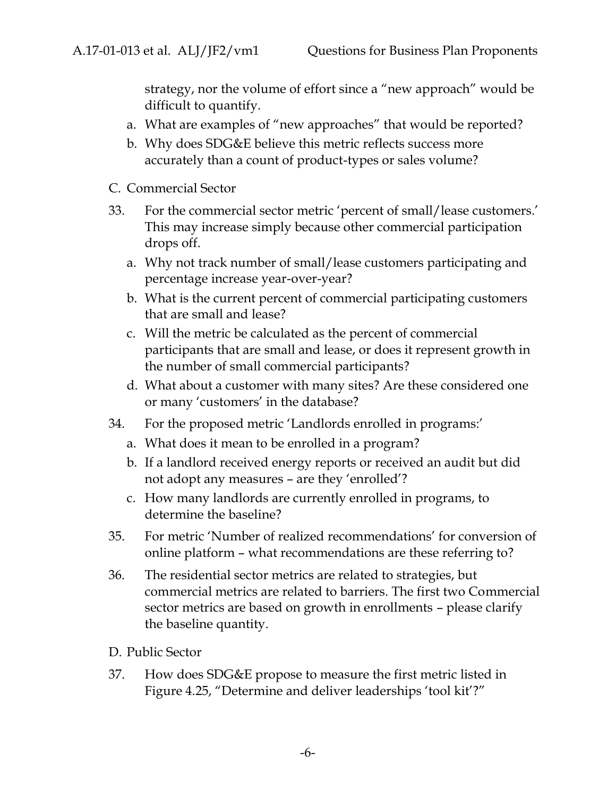strategy, nor the volume of effort since a "new approach" would be difficult to quantify.

- a. What are examples of "new approaches" that would be reported?
- b. Why does SDG&E believe this metric reflects success more accurately than a count of product-types or sales volume?
- C. Commercial Sector
- 33. For the commercial sector metric 'percent of small/lease customers.' This may increase simply because other commercial participation drops off.
	- a. Why not track number of small/lease customers participating and percentage increase year-over-year?
	- b. What is the current percent of commercial participating customers that are small and lease?
	- c. Will the metric be calculated as the percent of commercial participants that are small and lease, or does it represent growth in the number of small commercial participants?
	- d. What about a customer with many sites? Are these considered one or many 'customers' in the database?
- 34. For the proposed metric 'Landlords enrolled in programs:'
	- a. What does it mean to be enrolled in a program?
	- b. If a landlord received energy reports or received an audit but did not adopt any measures – are they 'enrolled'?
	- c. How many landlords are currently enrolled in programs, to determine the baseline?
- 35. For metric 'Number of realized recommendations' for conversion of online platform – what recommendations are these referring to?
- 36. The residential sector metrics are related to strategies, but commercial metrics are related to barriers. The first two Commercial sector metrics are based on growth in enrollments – please clarify the baseline quantity.
- D. Public Sector
- 37. How does SDG&E propose to measure the first metric listed in Figure 4.25, "Determine and deliver leaderships 'tool kit'?"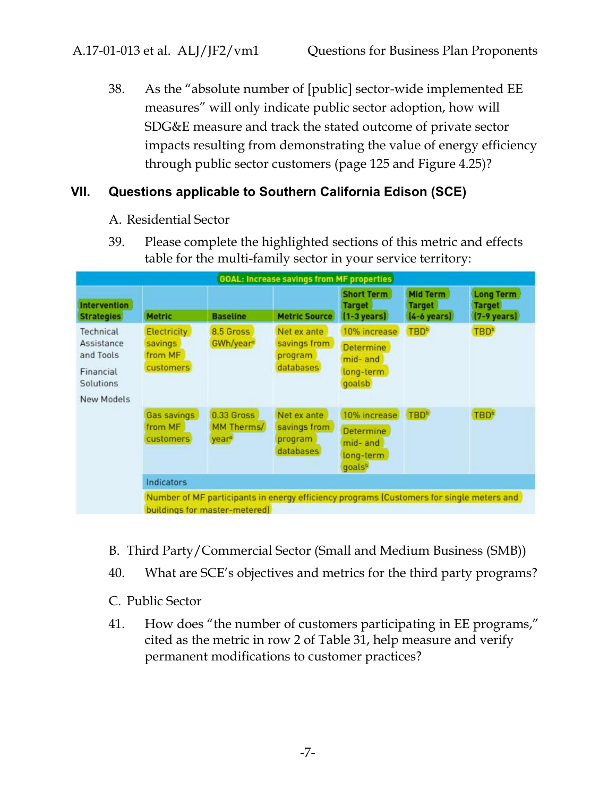38. As the "absolute number of [public] sector-wide implemented EE measures" will only indicate public sector adoption, how will SDG&E measure and track the stated outcome of private sector impacts resulting from demonstrating the value of energy efficiency through public sector customers (page 125 and Figure 4.25)?

#### **VII. Questions applicable to Southern California Edison (SCE)**

- A. Residential Sector
- 39. Please complete the highlighted sections of this metric and effects table for the multi-family sector in your service territory:

| <b>GOAL: Increase savings from MF properties</b>                             |                                                       |                                               |                                                                                          |                                                                                 |                                                    |                                                            |
|------------------------------------------------------------------------------|-------------------------------------------------------|-----------------------------------------------|------------------------------------------------------------------------------------------|---------------------------------------------------------------------------------|----------------------------------------------------|------------------------------------------------------------|
| <b>Intervention</b><br><b>Strategies</b>                                     | <b>Metric</b>                                         | <b>Baseline</b>                               | <b>Metric Source</b>                                                                     | <b>Short Term</b><br><b>Target</b><br>$[1-3 \text{ years}]$                     | Mid Term<br><b>Target</b><br>$[4-6 \text{ years}]$ | <b>Long Term</b><br><b>Target</b><br>$(7-9 \text{ years})$ |
| Technical<br>Assistance<br>and Tools<br>Financial<br>Solutions<br>New Models | <b>Electricity</b><br>savings<br>from MF<br>customers | 8.5 Gross<br>GWh/year <sup>®</sup>            | Net ex ante<br>savings from<br>program<br>databases                                      | 10% increase<br><b>Determine</b><br>mid- and<br>long-term<br>goalsb             | <b>TBD</b> <sup>b</sup>                            | <b>TBD</b> <sup>b</sup>                                    |
|                                                                              | Gas savings<br>from MF<br>customers                   | 0.33 Gross<br>MM Therms/<br>year <sup>®</sup> | Net ex ante<br>savings from<br>program<br>databases                                      | 10% increase<br><b>Determine</b><br>mid- and<br>long-term<br>goals <sup>b</sup> | <b>TBD</b> <sup>b</sup>                            | TBD <sup>*</sup>                                           |
|                                                                              | <b>Indicators</b>                                     |                                               |                                                                                          |                                                                                 |                                                    |                                                            |
|                                                                              |                                                       | buildings for master-metered                  | Number of MF participants in energy efficiency programs (Customers for single meters and |                                                                                 |                                                    |                                                            |

- B. Third Party/Commercial Sector (Small and Medium Business (SMB))
- 40. What are SCE's objectives and metrics for the third party programs?
- C. Public Sector
- 41. How does "the number of customers participating in EE programs," cited as the metric in row 2 of Table 31, help measure and verify permanent modifications to customer practices?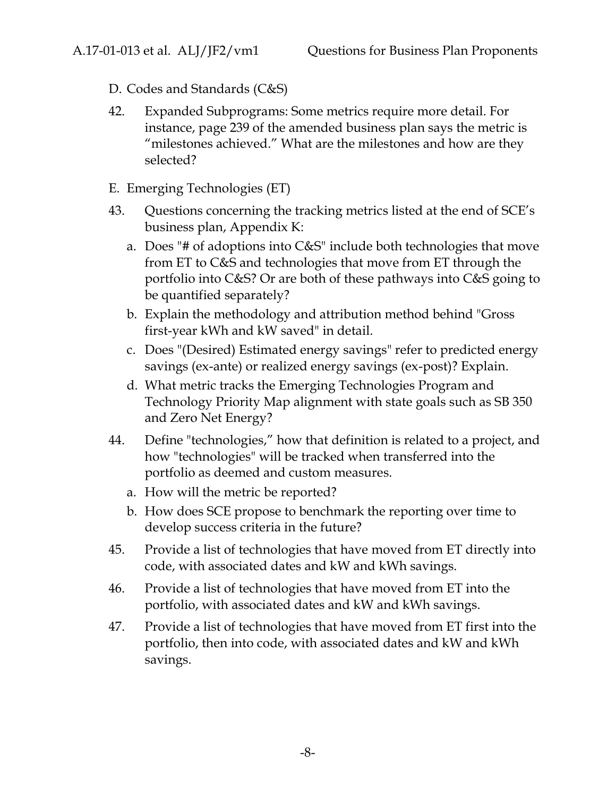- D. Codes and Standards (C&S)
- 42. Expanded Subprograms: Some metrics require more detail. For instance, page 239 of the amended business plan says the metric is "milestones achieved." What are the milestones and how are they selected?
- E. Emerging Technologies (ET)
- 43. Questions concerning the tracking metrics listed at the end of SCE's business plan, Appendix K:
	- a. Does "# of adoptions into C&S" include both technologies that move from ET to C&S and technologies that move from ET through the portfolio into C&S? Or are both of these pathways into C&S going to be quantified separately?
	- b. Explain the methodology and attribution method behind "Gross first-year kWh and kW saved" in detail.
	- c. Does "(Desired) Estimated energy savings" refer to predicted energy savings (ex-ante) or realized energy savings (ex-post)? Explain.
	- d. What metric tracks the Emerging Technologies Program and Technology Priority Map alignment with state goals such as SB 350 and Zero Net Energy?
- 44. Define "technologies," how that definition is related to a project, and how "technologies" will be tracked when transferred into the portfolio as deemed and custom measures.
	- a. How will the metric be reported?
	- b. How does SCE propose to benchmark the reporting over time to develop success criteria in the future?
- 45. Provide a list of technologies that have moved from ET directly into code, with associated dates and kW and kWh savings.
- 46. Provide a list of technologies that have moved from ET into the portfolio, with associated dates and kW and kWh savings.
- 47. Provide a list of technologies that have moved from ET first into the portfolio, then into code, with associated dates and kW and kWh savings.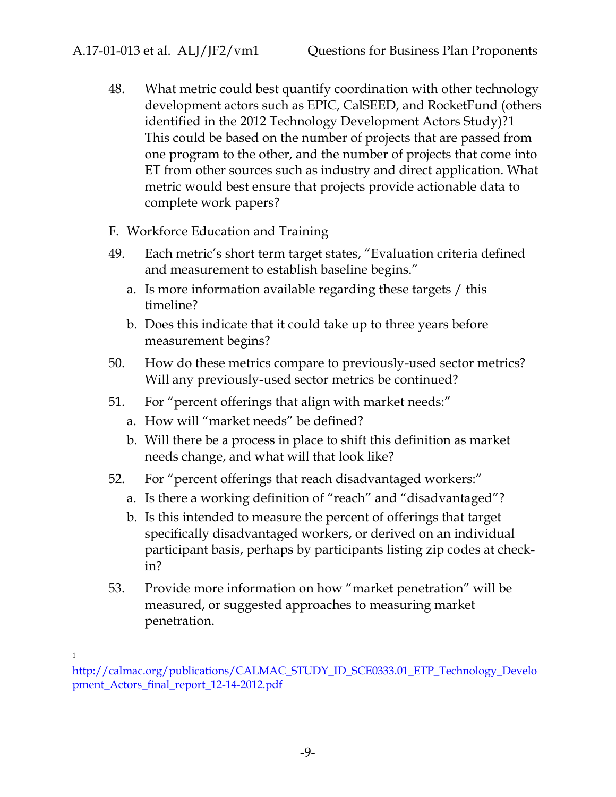- 48. What metric could best quantify coordination with other technology development actors such as EPIC, CalSEED, and RocketFund (others identified in the 2012 Technology Development Actors Study)?1 This could be based on the number of projects that are passed from one program to the other, and the number of projects that come into ET from other sources such as industry and direct application. What metric would best ensure that projects provide actionable data to complete work papers?
- F. Workforce Education and Training
- 49. Each metric's short term target states, "Evaluation criteria defined and measurement to establish baseline begins."
	- a. Is more information available regarding these targets / this timeline?
	- b. Does this indicate that it could take up to three years before measurement begins?
- 50. How do these metrics compare to previously-used sector metrics? Will any previously-used sector metrics be continued?
- 51. For "percent offerings that align with market needs:"
	- a. How will "market needs" be defined?
	- b. Will there be a process in place to shift this definition as market needs change, and what will that look like?
- 52. For "percent offerings that reach disadvantaged workers:"
	- a. Is there a working definition of "reach" and "disadvantaged"?
	- b. Is this intended to measure the percent of offerings that target specifically disadvantaged workers, or derived on an individual participant basis, perhaps by participants listing zip codes at checkin?
- 53. Provide more information on how "market penetration" will be measured, or suggested approaches to measuring market penetration.

<sup>1</sup>

http://calmac.org/publications/CALMAC\_STUDY\_ID\_SCE0333.01\_ETP\_Technology\_Develo pment\_Actors\_final\_report\_12-14-2012.pdf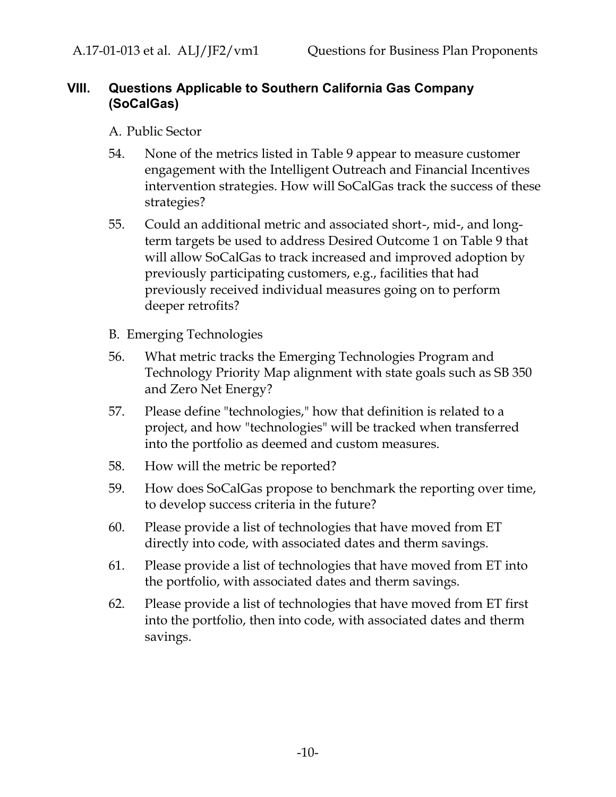#### **VIII. Questions Applicable to Southern California Gas Company (SoCalGas)**

- A. Public Sector
- 54. None of the metrics listed in Table 9 appear to measure customer engagement with the Intelligent Outreach and Financial Incentives intervention strategies. How will SoCalGas track the success of these strategies?
- 55. Could an additional metric and associated short-, mid-, and longterm targets be used to address Desired Outcome 1 on Table 9 that will allow SoCalGas to track increased and improved adoption by previously participating customers, e.g., facilities that had previously received individual measures going on to perform deeper retrofits?
- B. Emerging Technologies
- 56. What metric tracks the Emerging Technologies Program and Technology Priority Map alignment with state goals such as SB 350 and Zero Net Energy?
- 57. Please define "technologies," how that definition is related to a project, and how "technologies" will be tracked when transferred into the portfolio as deemed and custom measures.
- 58. How will the metric be reported?
- 59. How does SoCalGas propose to benchmark the reporting over time, to develop success criteria in the future?
- 60. Please provide a list of technologies that have moved from ET directly into code, with associated dates and therm savings.
- 61. Please provide a list of technologies that have moved from ET into the portfolio, with associated dates and therm savings.
- 62. Please provide a list of technologies that have moved from ET first into the portfolio, then into code, with associated dates and therm savings.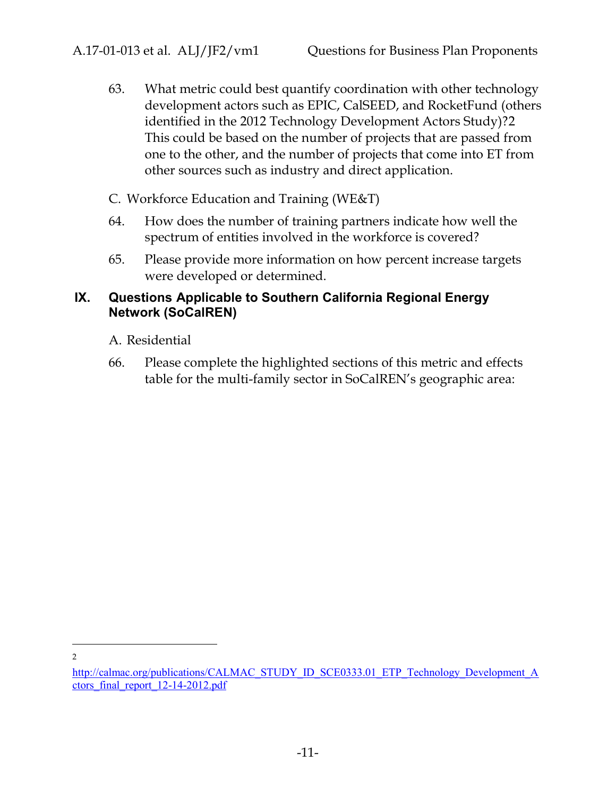- 63. What metric could best quantify coordination with other technology development actors such as EPIC, CalSEED, and RocketFund (others identified in the 2012 Technology Development Actors Study)?2 This could be based on the number of projects that are passed from one to the other, and the number of projects that come into ET from other sources such as industry and direct application.
- C. Workforce Education and Training (WE&T)
- 64. How does the number of training partners indicate how well the spectrum of entities involved in the workforce is covered?
- 65. Please provide more information on how percent increase targets were developed or determined.

#### **IX. Questions Applicable to Southern California Regional Energy Network (SoCalREN)**

A. Residential

66. Please complete the highlighted sections of this metric and effects table for the multi-family sector in SoCalREN's geographic area:

2

http://calmac.org/publications/CALMAC\_STUDY\_ID\_SCE0333.01\_ETP\_Technology\_Development\_A ctors\_final\_report\_12-14-2012.pdf